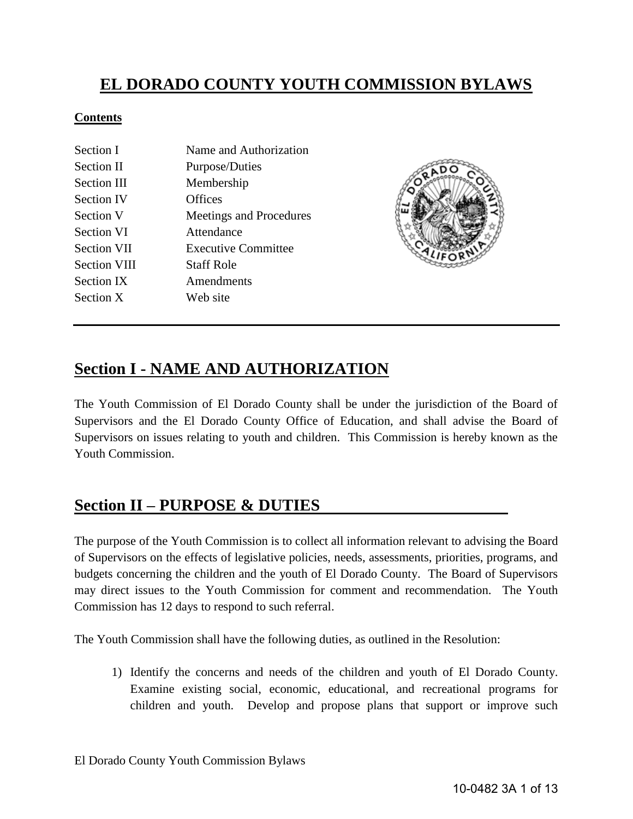# **EL DORADO COUNTY YOUTH COMMISSION BYLAWS**

#### **Contents**

| Section I           | Name and Authorization     |
|---------------------|----------------------------|
| Section II          | Purpose/Duties             |
| Section III         | Membership                 |
| <b>Section IV</b>   | Offices                    |
| Section V           | Meetings and Procedures    |
| Section VI          | Attendance                 |
| <b>Section VII</b>  | <b>Executive Committee</b> |
| <b>Section VIII</b> | <b>Staff Role</b>          |
| <b>Section IX</b>   | Amendments                 |
| Section X           | Web site                   |



## **Section I - NAME AND AUTHORIZATION**

The Youth Commission of El Dorado County shall be under the jurisdiction of the Board of Supervisors and the El Dorado County Office of Education, and shall advise the Board of Supervisors on issues relating to youth and children. This Commission is hereby known as the Youth Commission.

## **Section II – PURPOSE & DUTIES**

The purpose of the Youth Commission is to collect all information relevant to advising the Board of Supervisors on the effects of legislative policies, needs, assessments, priorities, programs, and budgets concerning the children and the youth of El Dorado County. The Board of Supervisors may direct issues to the Youth Commission for comment and recommendation. The Youth Commission has 12 days to respond to such referral.

The Youth Commission shall have the following duties, as outlined in the Resolution:

1) Identify the concerns and needs of the children and youth of El Dorado County. Examine existing social, economic, educational, and recreational programs for children and youth. Develop and propose plans that support or improve such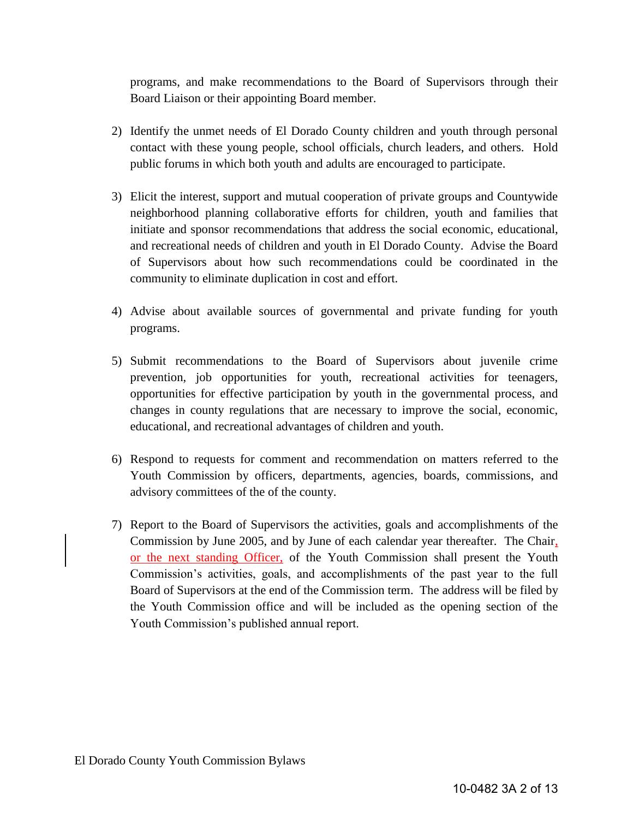programs, and make recommendations to the Board of Supervisors through their Board Liaison or their appointing Board member.

- 2) Identify the unmet needs of El Dorado County children and youth through personal contact with these young people, school officials, church leaders, and others. Hold public forums in which both youth and adults are encouraged to participate.
- 3) Elicit the interest, support and mutual cooperation of private groups and Countywide neighborhood planning collaborative efforts for children, youth and families that initiate and sponsor recommendations that address the social economic, educational, and recreational needs of children and youth in El Dorado County. Advise the Board of Supervisors about how such recommendations could be coordinated in the community to eliminate duplication in cost and effort.
- 4) Advise about available sources of governmental and private funding for youth programs.
- 5) Submit recommendations to the Board of Supervisors about juvenile crime prevention, job opportunities for youth, recreational activities for teenagers, opportunities for effective participation by youth in the governmental process, and changes in county regulations that are necessary to improve the social, economic, educational, and recreational advantages of children and youth.
- 6) Respond to requests for comment and recommendation on matters referred to the Youth Commission by officers, departments, agencies, boards, commissions, and advisory committees of the of the county.
- 7) Report to the Board of Supervisors the activities, goals and accomplishments of the Commission by June 2005, and by June of each calendar year thereafter. The Chair, or the next standing Officer, of the Youth Commission shall present the Youth Commission's activities, goals, and accomplishments of the past year to the full Board of Supervisors at the end of the Commission term. The address will be filed by the Youth Commission office and will be included as the opening section of the Youth Commission's published annual report.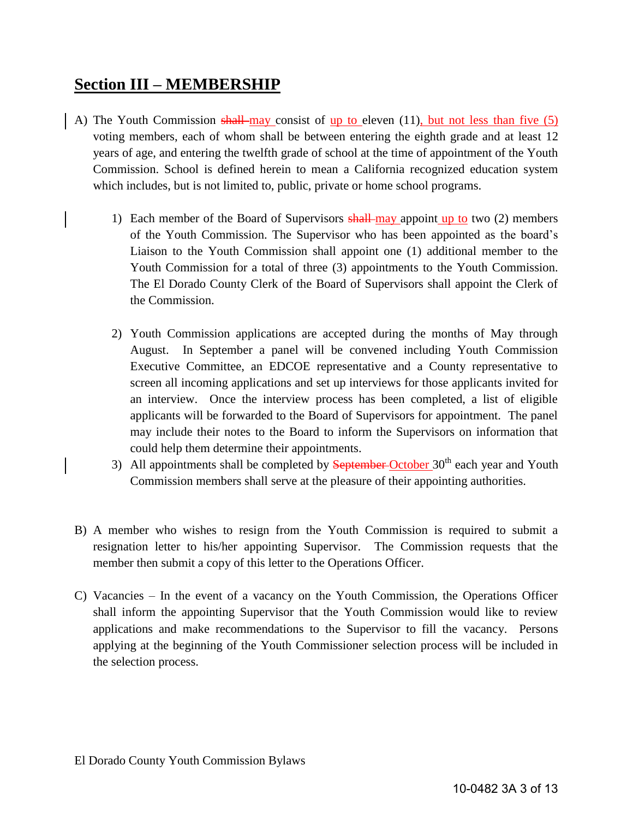# **Section III – MEMBERSHIP**

- A) The Youth Commission shall-may consist of up to eleven  $(11)$ , but not less than five  $(5)$ voting members, each of whom shall be between entering the eighth grade and at least 12 years of age, and entering the twelfth grade of school at the time of appointment of the Youth Commission. School is defined herein to mean a California recognized education system which includes, but is not limited to, public, private or home school programs.
	- 1) Each member of the Board of Supervisors  $shall$ -may appoint up to two (2) members of the Youth Commission. The Supervisor who has been appointed as the board's Liaison to the Youth Commission shall appoint one (1) additional member to the Youth Commission for a total of three (3) appointments to the Youth Commission. The El Dorado County Clerk of the Board of Supervisors shall appoint the Clerk of the Commission.
	- 2) Youth Commission applications are accepted during the months of May through August. In September a panel will be convened including Youth Commission Executive Committee, an EDCOE representative and a County representative to screen all incoming applications and set up interviews for those applicants invited for an interview. Once the interview process has been completed, a list of eligible applicants will be forwarded to the Board of Supervisors for appointment. The panel may include their notes to the Board to inform the Supervisors on information that could help them determine their appointments.
	- 3) All appointments shall be completed by **September**-October  $30<sup>th</sup>$  each year and Youth Commission members shall serve at the pleasure of their appointing authorities.
- B) A member who wishes to resign from the Youth Commission is required to submit a resignation letter to his/her appointing Supervisor. The Commission requests that the member then submit a copy of this letter to the Operations Officer.
- C) Vacancies In the event of a vacancy on the Youth Commission, the Operations Officer shall inform the appointing Supervisor that the Youth Commission would like to review applications and make recommendations to the Supervisor to fill the vacancy. Persons applying at the beginning of the Youth Commissioner selection process will be included in the selection process.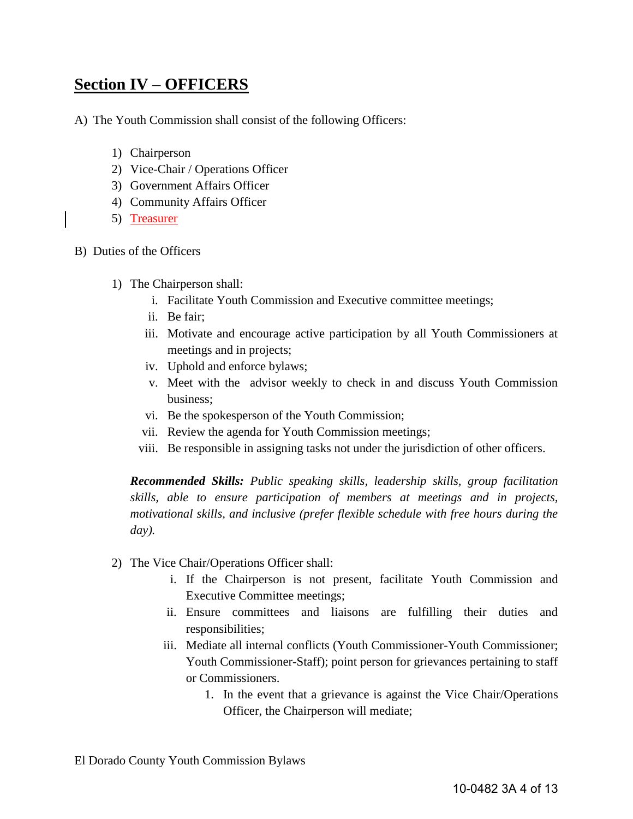# **Section IV – OFFICERS**

- A) The Youth Commission shall consist of the following Officers:
	- 1) Chairperson
	- 2) Vice-Chair / Operations Officer
	- 3) Government Affairs Officer
	- 4) Community Affairs Officer
	- 5) Treasurer
- B) Duties of the Officers
	- 1) The Chairperson shall:
		- i. Facilitate Youth Commission and Executive committee meetings;
		- ii. Be fair;
		- iii. Motivate and encourage active participation by all Youth Commissioners at meetings and in projects;
		- iv. Uphold and enforce bylaws;
		- v. Meet with the advisor weekly to check in and discuss Youth Commission business;
		- vi. Be the spokesperson of the Youth Commission;
		- vii. Review the agenda for Youth Commission meetings;
		- viii. Be responsible in assigning tasks not under the jurisdiction of other officers.

*Recommended Skills: Public speaking skills, leadership skills, group facilitation skills, able to ensure participation of members at meetings and in projects, motivational skills, and inclusive (prefer flexible schedule with free hours during the day).* 

- 2) The Vice Chair/Operations Officer shall:
	- i. If the Chairperson is not present, facilitate Youth Commission and Executive Committee meetings;
	- ii. Ensure committees and liaisons are fulfilling their duties and responsibilities;
	- iii. Mediate all internal conflicts (Youth Commissioner-Youth Commissioner; Youth Commissioner-Staff); point person for grievances pertaining to staff or Commissioners.
		- 1. In the event that a grievance is against the Vice Chair/Operations Officer, the Chairperson will mediate;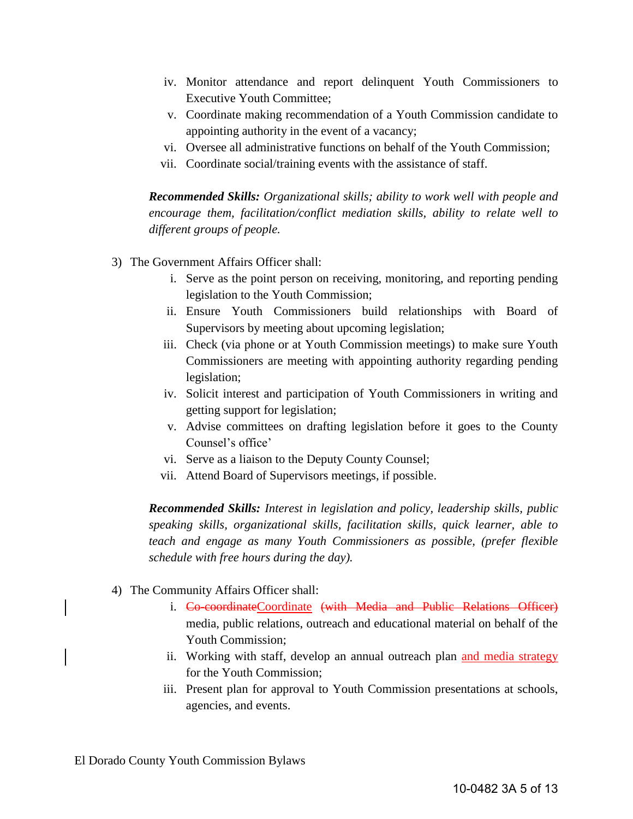- iv. Monitor attendance and report delinquent Youth Commissioners to Executive Youth Committee;
- v. Coordinate making recommendation of a Youth Commission candidate to appointing authority in the event of a vacancy;
- vi. Oversee all administrative functions on behalf of the Youth Commission;
- vii. Coordinate social/training events with the assistance of staff.

*Recommended Skills: Organizational skills; ability to work well with people and encourage them, facilitation/conflict mediation skills, ability to relate well to different groups of people.* 

- 3) The Government Affairs Officer shall:
	- i. Serve as the point person on receiving, monitoring, and reporting pending legislation to the Youth Commission;
	- ii. Ensure Youth Commissioners build relationships with Board of Supervisors by meeting about upcoming legislation;
	- iii. Check (via phone or at Youth Commission meetings) to make sure Youth Commissioners are meeting with appointing authority regarding pending legislation;
	- iv. Solicit interest and participation of Youth Commissioners in writing and getting support for legislation;
	- v. Advise committees on drafting legislation before it goes to the County Counsel's office'
	- vi. Serve as a liaison to the Deputy County Counsel;
	- vii. Attend Board of Supervisors meetings, if possible.

*Recommended Skills: Interest in legislation and policy, leadership skills, public speaking skills, organizational skills, facilitation skills, quick learner, able to teach and engage as many Youth Commissioners as possible, (prefer flexible schedule with free hours during the day).* 

- 4) The Community Affairs Officer shall:
	- i. Co-coordinateCoordinate (with Media and Public Relations Officer) media, public relations, outreach and educational material on behalf of the Youth Commission;
	- ii. Working with staff, develop an annual outreach plan and media strategy for the Youth Commission;
	- iii. Present plan for approval to Youth Commission presentations at schools, agencies, and events.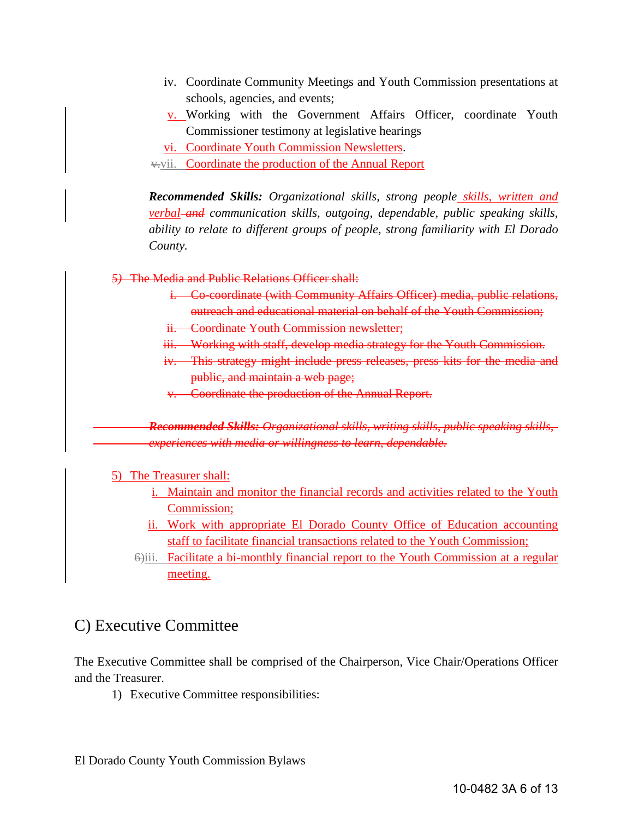- iv. Coordinate Community Meetings and Youth Commission presentations at schools, agencies, and events;
- v. Working with the Government Affairs Officer, coordinate Youth Commissioner testimony at legislative hearings
- vi. Coordinate Youth Commission Newsletters.
- v.vii. Coordinate the production of the Annual Report

*Recommended Skills: Organizational skills, strong people skills, written and verbal and communication skills, outgoing, dependable, public speaking skills, ability to relate to different groups of people, strong familiarity with El Dorado County.*

*5)* The Media and Public Relations Officer shall:

- i. Co-coordinate (with Community Affairs Officer) media, public relations, outreach and educational material on behalf of the Youth Commission;
- ii. Coordinate Youth Commission newsletter;
- iii. Working with staff, develop media strategy for the Youth Commission.
- iv. This strategy might include press releases, press kits for the media and public, and maintain a web page;
- v. Coordinate the production of the Annual Report.

 *Recommended Skills: Organizational skills, writing skills, public speaking skills, experiences with media or willingness to learn, dependable.* 

5) The Treasurer shall:

- i. Maintain and monitor the financial records and activities related to the Youth Commission;
- ii. Work with appropriate El Dorado County Office of Education accounting staff to facilitate financial transactions related to the Youth Commission;
- 6)iii. Facilitate a bi-monthly financial report to the Youth Commission at a regular meeting.

## C) Executive Committee

The Executive Committee shall be comprised of the Chairperson, Vice Chair/Operations Officer and the Treasurer.

1) Executive Committee responsibilities: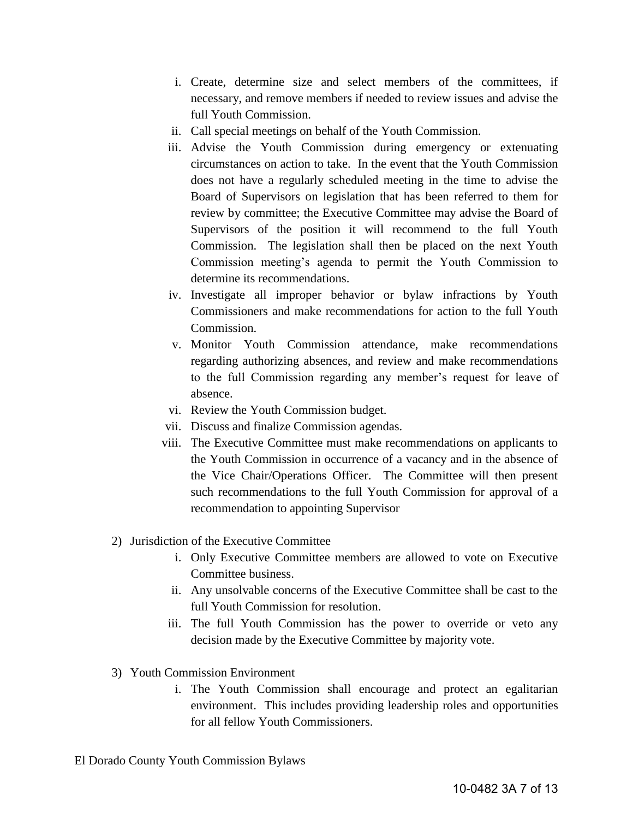- i. Create, determine size and select members of the committees, if necessary, and remove members if needed to review issues and advise the full Youth Commission.
- ii. Call special meetings on behalf of the Youth Commission.
- iii. Advise the Youth Commission during emergency or extenuating circumstances on action to take. In the event that the Youth Commission does not have a regularly scheduled meeting in the time to advise the Board of Supervisors on legislation that has been referred to them for review by committee; the Executive Committee may advise the Board of Supervisors of the position it will recommend to the full Youth Commission. The legislation shall then be placed on the next Youth Commission meeting's agenda to permit the Youth Commission to determine its recommendations.
- iv. Investigate all improper behavior or bylaw infractions by Youth Commissioners and make recommendations for action to the full Youth Commission.
- v. Monitor Youth Commission attendance, make recommendations regarding authorizing absences, and review and make recommendations to the full Commission regarding any member's request for leave of absence.
- vi. Review the Youth Commission budget.
- vii. Discuss and finalize Commission agendas.
- viii. The Executive Committee must make recommendations on applicants to the Youth Commission in occurrence of a vacancy and in the absence of the Vice Chair/Operations Officer. The Committee will then present such recommendations to the full Youth Commission for approval of a recommendation to appointing Supervisor
- 2) Jurisdiction of the Executive Committee
	- i. Only Executive Committee members are allowed to vote on Executive Committee business.
	- ii. Any unsolvable concerns of the Executive Committee shall be cast to the full Youth Commission for resolution.
	- iii. The full Youth Commission has the power to override or veto any decision made by the Executive Committee by majority vote.
- 3) Youth Commission Environment
	- i. The Youth Commission shall encourage and protect an egalitarian environment. This includes providing leadership roles and opportunities for all fellow Youth Commissioners.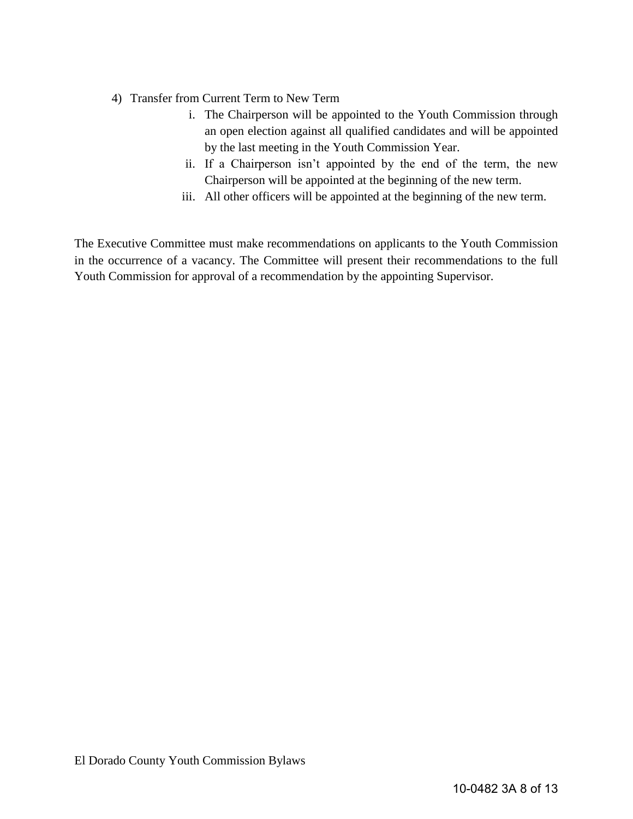- 4) Transfer from Current Term to New Term
	- i. The Chairperson will be appointed to the Youth Commission through an open election against all qualified candidates and will be appointed by the last meeting in the Youth Commission Year.
	- ii. If a Chairperson isn't appointed by the end of the term, the new Chairperson will be appointed at the beginning of the new term.
	- iii. All other officers will be appointed at the beginning of the new term.

The Executive Committee must make recommendations on applicants to the Youth Commission in the occurrence of a vacancy. The Committee will present their recommendations to the full Youth Commission for approval of a recommendation by the appointing Supervisor.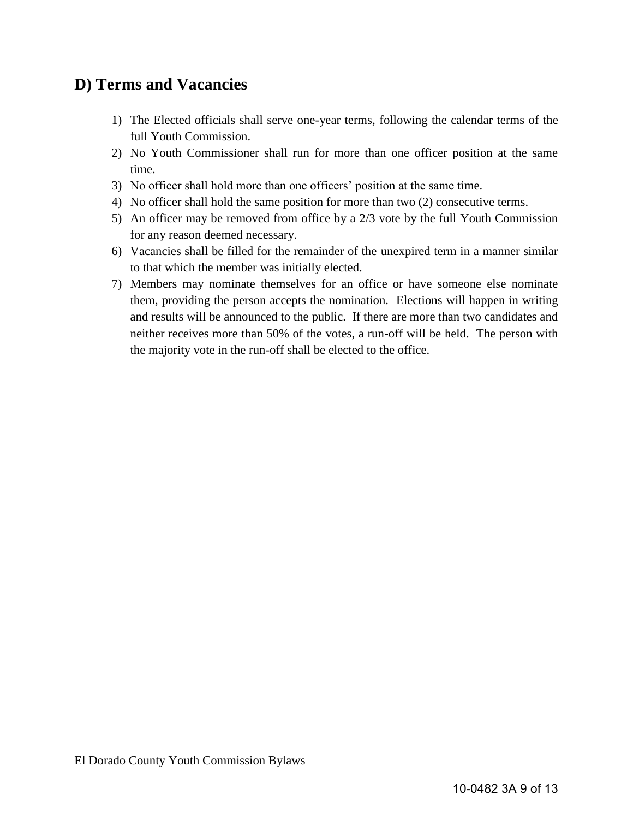# **D) Terms and Vacancies**

- 1) The Elected officials shall serve one-year terms, following the calendar terms of the full Youth Commission.
- 2) No Youth Commissioner shall run for more than one officer position at the same time.
- 3) No officer shall hold more than one officers' position at the same time.
- 4) No officer shall hold the same position for more than two (2) consecutive terms.
- 5) An officer may be removed from office by a 2/3 vote by the full Youth Commission for any reason deemed necessary.
- 6) Vacancies shall be filled for the remainder of the unexpired term in a manner similar to that which the member was initially elected.
- 7) Members may nominate themselves for an office or have someone else nominate them, providing the person accepts the nomination. Elections will happen in writing and results will be announced to the public. If there are more than two candidates and neither receives more than 50% of the votes, a run-off will be held. The person with the majority vote in the run-off shall be elected to the office.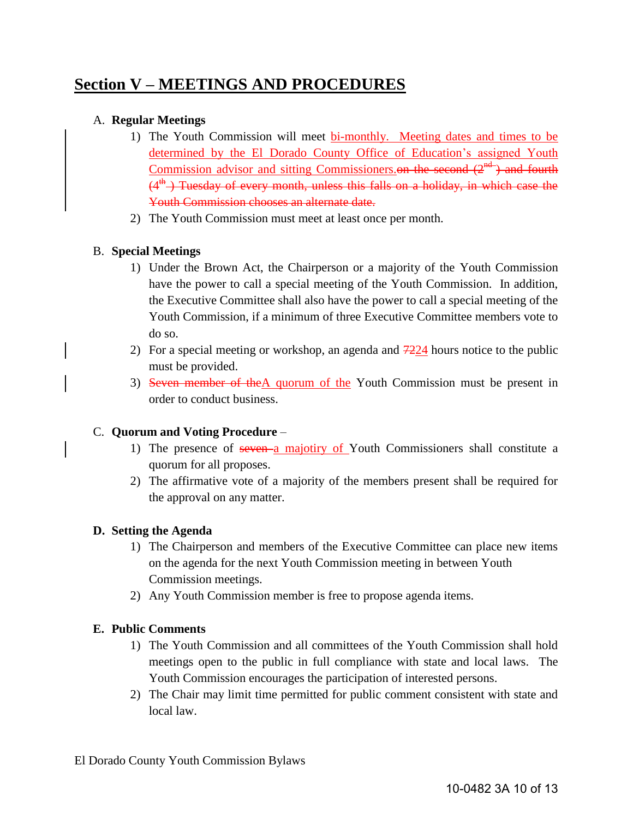# **Section V – MEETINGS AND PROCEDURES**

### A. **Regular Meetings**

- 1) The Youth Commission will meet bi-monthly. Meeting dates and times to be determined by the El Dorado County Office of Education's assigned Youth Commission advisor and sitting Commissioners.<del>on the second  $(2<sup>nd</sup>)$  and fourth</del>  $(4<sup>th</sup>)$  Tuesday of every month, unless this falls on a holiday, in which case the Youth Commission chooses an alternate date.
- 2) The Youth Commission must meet at least once per month.

### B. **Special Meetings**

- 1) Under the Brown Act, the Chairperson or a majority of the Youth Commission have the power to call a special meeting of the Youth Commission. In addition, the Executive Committee shall also have the power to call a special meeting of the Youth Commission, if a minimum of three Executive Committee members vote to do so.
- 2) For a special meeting or workshop, an agenda and  $7224$  hours notice to the public must be provided.
- 3) Seven member of theA quorum of the Youth Commission must be present in order to conduct business.

#### C. **Quorum and Voting Procedure** –

- 1) The presence of seven a majotiry of Youth Commissioners shall constitute a quorum for all proposes.
- 2) The affirmative vote of a majority of the members present shall be required for the approval on any matter.

#### **D. Setting the Agenda**

- 1) The Chairperson and members of the Executive Committee can place new items on the agenda for the next Youth Commission meeting in between Youth Commission meetings.
- 2) Any Youth Commission member is free to propose agenda items.

### **E. Public Comments**

- 1) The Youth Commission and all committees of the Youth Commission shall hold meetings open to the public in full compliance with state and local laws. The Youth Commission encourages the participation of interested persons.
- 2) The Chair may limit time permitted for public comment consistent with state and local law.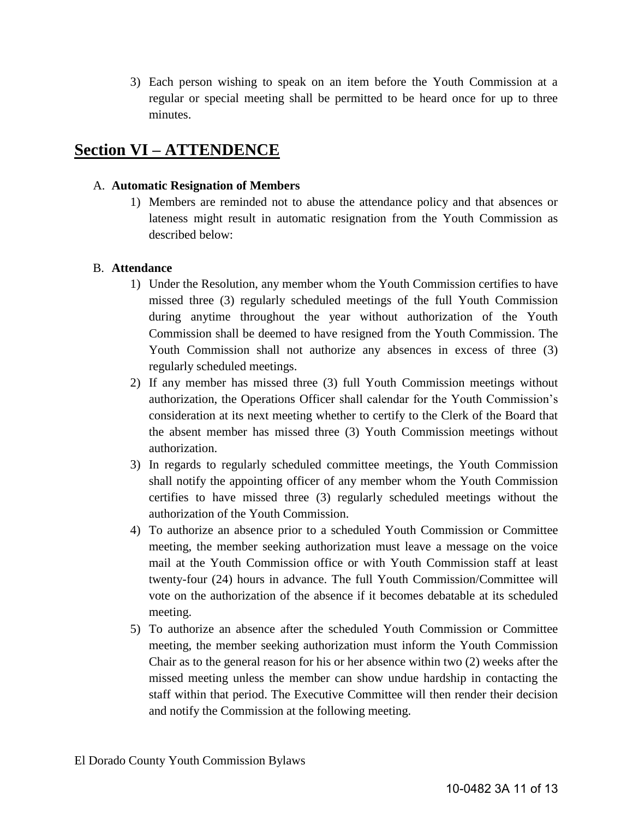3) Each person wishing to speak on an item before the Youth Commission at a regular or special meeting shall be permitted to be heard once for up to three minutes.

## **Section VI – ATTENDENCE**

#### A. **Automatic Resignation of Members**

1) Members are reminded not to abuse the attendance policy and that absences or lateness might result in automatic resignation from the Youth Commission as described below:

### B. **Attendance**

- 1) Under the Resolution, any member whom the Youth Commission certifies to have missed three (3) regularly scheduled meetings of the full Youth Commission during anytime throughout the year without authorization of the Youth Commission shall be deemed to have resigned from the Youth Commission. The Youth Commission shall not authorize any absences in excess of three (3) regularly scheduled meetings.
- 2) If any member has missed three (3) full Youth Commission meetings without authorization, the Operations Officer shall calendar for the Youth Commission's consideration at its next meeting whether to certify to the Clerk of the Board that the absent member has missed three (3) Youth Commission meetings without authorization.
- 3) In regards to regularly scheduled committee meetings, the Youth Commission shall notify the appointing officer of any member whom the Youth Commission certifies to have missed three (3) regularly scheduled meetings without the authorization of the Youth Commission.
- 4) To authorize an absence prior to a scheduled Youth Commission or Committee meeting, the member seeking authorization must leave a message on the voice mail at the Youth Commission office or with Youth Commission staff at least twenty-four (24) hours in advance. The full Youth Commission/Committee will vote on the authorization of the absence if it becomes debatable at its scheduled meeting.
- 5) To authorize an absence after the scheduled Youth Commission or Committee meeting, the member seeking authorization must inform the Youth Commission Chair as to the general reason for his or her absence within two (2) weeks after the missed meeting unless the member can show undue hardship in contacting the staff within that period. The Executive Committee will then render their decision and notify the Commission at the following meeting.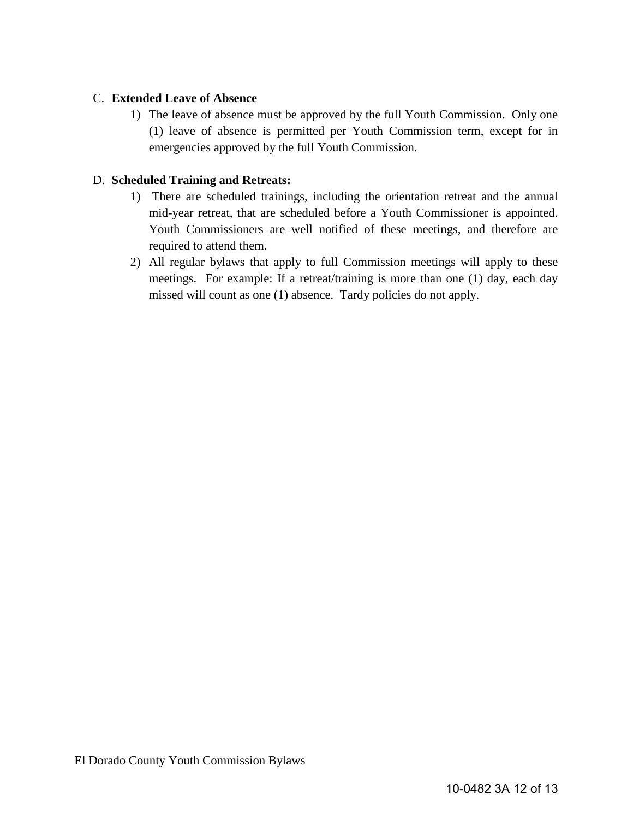#### C. **Extended Leave of Absence**

1) The leave of absence must be approved by the full Youth Commission. Only one (1) leave of absence is permitted per Youth Commission term, except for in emergencies approved by the full Youth Commission.

### D. **Scheduled Training and Retreats:**

- 1) There are scheduled trainings, including the orientation retreat and the annual mid-year retreat, that are scheduled before a Youth Commissioner is appointed. Youth Commissioners are well notified of these meetings, and therefore are required to attend them.
- 2) All regular bylaws that apply to full Commission meetings will apply to these meetings. For example: If a retreat/training is more than one (1) day, each day missed will count as one (1) absence. Tardy policies do not apply.